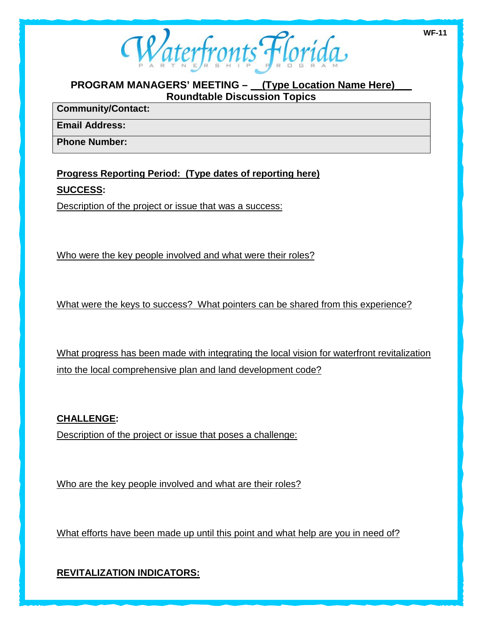Waterfronts Florida

## **PROGRAM MANAGERS' MEETING – \_\_(Type Location Name Here)\_\_\_ Roundtable Discussion Topics**

**Community/Contact:**

**Email Address:** 

**Phone Number:** 

**Progress Reporting Period: (Type dates of reporting here) SUCCESS:**

Description of the project or issue that was a success:

Who were the key people involved and what were their roles?

What were the keys to success? What pointers can be shared from this experience?

What progress has been made with integrating the local vision for waterfront revitalization into the local comprehensive plan and land development code?

**CHALLENGE:** Description of the project or issue that poses a challenge:

Who are the key people involved and what are their roles?

What efforts have been made up until this point and what help are you in need of?

**REVITALIZATION INDICATORS:**